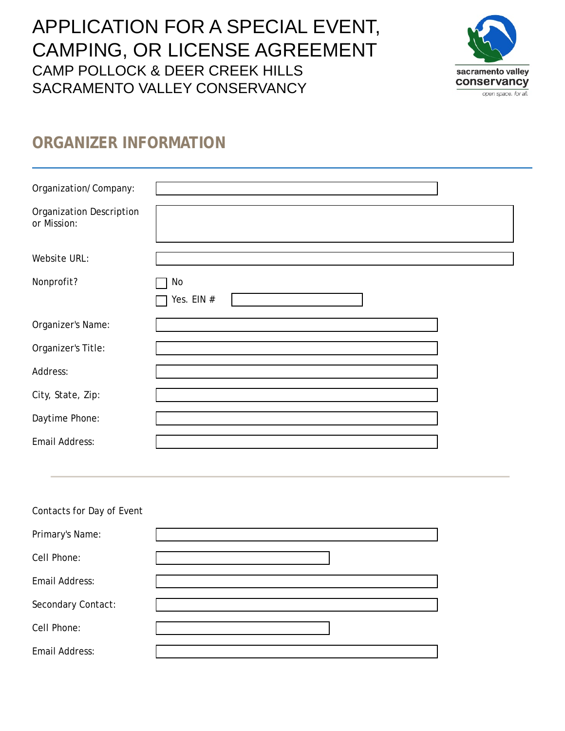# APPLICATION FOR A SPECIAL EVENT, CAMPING, OR LICENSE AGREEMENT CAMP POLLOCK & DEER CREEK HILLS SACRAMENTO VALLEY CONSERVANCY



#### **ORGANIZER INFORMATION**

| Organization/Company:                   |              |  |
|-----------------------------------------|--------------|--|
| Organization Description<br>or Mission: |              |  |
| Website URL:                            |              |  |
| Nonprofit?                              | No           |  |
|                                         | Yes. EIN $#$ |  |
| Organizer's Name:                       |              |  |
| Organizer's Title:                      |              |  |
| Address:                                |              |  |
| City, State, Zip:                       |              |  |
| Daytime Phone:                          |              |  |
| Email Address:                          |              |  |
|                                         |              |  |
| Contacts for Day of Event               |              |  |
| Primary's Name:                         |              |  |
| Cell Phone:                             |              |  |
| Email Address:                          |              |  |
| Secondary Contact:                      |              |  |
| Cell Phone:                             |              |  |

Email Address: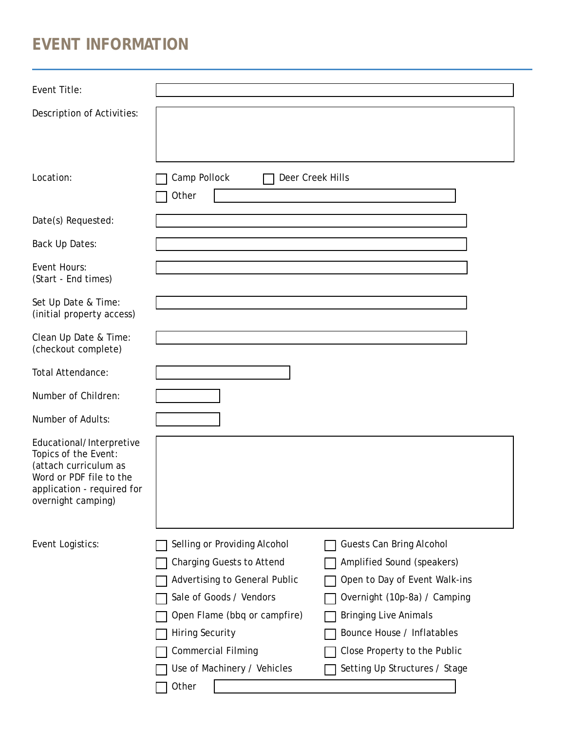# **EVENT INFORMATION**

| Event Title:                                                                                                                                             |                                                        |                                                            |
|----------------------------------------------------------------------------------------------------------------------------------------------------------|--------------------------------------------------------|------------------------------------------------------------|
| Description of Activities:                                                                                                                               |                                                        |                                                            |
| Location:                                                                                                                                                | Camp Pollock<br>Other                                  | Deer Creek Hills                                           |
| Date(s) Requested:                                                                                                                                       |                                                        |                                                            |
| Back Up Dates:                                                                                                                                           |                                                        |                                                            |
| Event Hours:<br>(Start - End times)                                                                                                                      |                                                        |                                                            |
| Set Up Date & Time:<br>(initial property access)                                                                                                         |                                                        |                                                            |
| Clean Up Date & Time:<br>(checkout complete)                                                                                                             |                                                        |                                                            |
| Total Attendance:                                                                                                                                        |                                                        |                                                            |
| Number of Children:                                                                                                                                      |                                                        |                                                            |
| Number of Adults:                                                                                                                                        |                                                        |                                                            |
| Educational/Interpretive<br>Topics of the Event:<br>(attach curriculum as<br>Word or PDF file to the<br>application - required for<br>overnight camping) |                                                        |                                                            |
| Event Logistics:                                                                                                                                         | Selling or Providing Alcohol                           | <b>Guests Can Bring Alcohol</b>                            |
|                                                                                                                                                          | <b>Charging Guests to Attend</b>                       | Amplified Sound (speakers)                                 |
|                                                                                                                                                          | Advertising to General Public                          | Open to Day of Event Walk-ins                              |
|                                                                                                                                                          | Sale of Goods / Vendors                                | Overnight (10p-8a) / Camping                               |
|                                                                                                                                                          | Open Flame (bbq or campfire)<br><b>Hiring Security</b> | <b>Bringing Live Animals</b><br>Bounce House / Inflatables |
|                                                                                                                                                          | <b>Commercial Filming</b>                              | Close Property to the Public                               |
|                                                                                                                                                          | Use of Machinery / Vehicles                            | Setting Up Structures / Stage                              |
|                                                                                                                                                          | Other                                                  |                                                            |